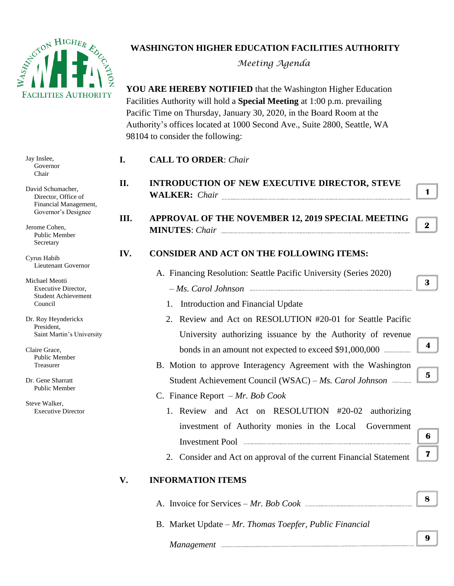

## **WASHINGTON HIGHER EDUCATION FACILITIES AUTHORITY**

*Meeting Agenda*

**YOU ARE HEREBY NOTIFIED** that the Washington Higher Education Facilities Authority will hold a **Special Meeting** at 1:00 p.m. prevailing Pacific Time on Thursday, January 30, 2020, in the Board Room at the Authority's offices located at 1000 Second Ave., Suite 2800, Seattle, WA 98104 to consider the following:

| Jay Inslee,<br>Governor<br>Chair                                                        | I.   | <b>CALL TO ORDER: Chair</b>                                                                                               |                         |
|-----------------------------------------------------------------------------------------|------|---------------------------------------------------------------------------------------------------------------------------|-------------------------|
| David Schumacher,<br>Director, Office of<br>Financial Management,                       | II.  | <b>INTRODUCTION OF NEW EXECUTIVE DIRECTOR, STEVE</b><br>WALKER: Chair                                                     | $\mathbf 1$             |
| Governor's Designee<br>Jerome Cohen,<br>Public Member<br>Secretary                      | III. | APPROVAL OF THE NOVEMBER 12, 2019 SPECIAL MEETING                                                                         | $2 \parallel$           |
| Cyrus Habib<br>Lieutenant Governor                                                      | IV.  | <b>CONSIDER AND ACT ON THE FOLLOWING ITEMS:</b><br>A. Financing Resolution: Seattle Pacific University (Series 2020)      |                         |
| Michael Meotti<br>Executive Director,<br><b>Student Achievement</b><br>Council          |      | 1. Introduction and Financial Update                                                                                      | 3                       |
| Dr. Roy Heynderickx<br>President,<br>Saint Martin's University                          |      | 2. Review and Act on RESOLUTION #20-01 for Seattle Pacific<br>University authorizing issuance by the Authority of revenue |                         |
| Claire Grace,<br><b>Public Member</b><br>Treasurer                                      |      | B. Motion to approve Interagency Agreement with the Washington                                                            | $\overline{\mathbf{4}}$ |
| Dr. Gene Sharratt<br><b>Public Member</b><br>Steve Walker,<br><b>Executive Director</b> |      | Student Achievement Council (WSAC) - Ms. Carol Johnson<br>C. Finance Report $-Mr$ . Bob Cook                              | 5 <sup>5</sup>          |
|                                                                                         |      | 1. Review and Act on RESOLUTION #20-02<br>authorizing<br>investment of Authority monies in the Local<br>Government        | 6                       |
|                                                                                         | V.   | 2. Consider and Act on approval of the current Financial Statement<br><b>INFORMATION ITEMS</b>                            | 7 <sup>1</sup>          |
|                                                                                         |      |                                                                                                                           | 8                       |
|                                                                                         |      | B. Market Update – Mr. Thomas Toepfer, Public Financial                                                                   |                         |

**9 8**